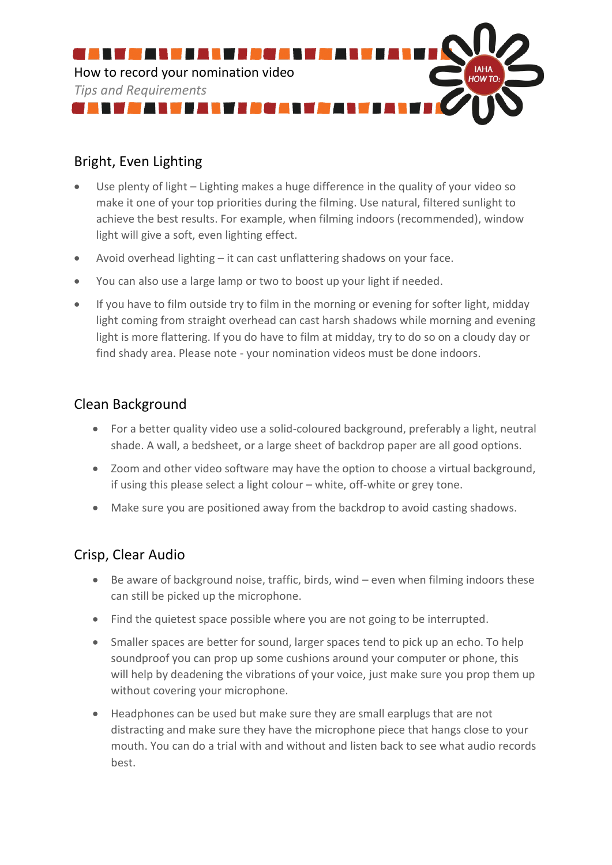

# Bright, Even Lighting

- Use plenty of light Lighting makes a huge difference in the quality of your video so make it one of your top priorities during the filming. Use natural, filtered sunlight to achieve the best results. For example, when filming indoors (recommended), window light will give a soft, even lighting effect.
- Avoid overhead lighting it can cast unflattering shadows on your face.
- You can also use a large lamp or two to boost up your light if needed.
- If you have to film outside try to film in the morning or evening for softer light, midday light coming from straight overhead can cast harsh shadows while morning and evening light is more flattering. If you do have to film at midday, try to do so on a cloudy day or find shady area. Please note - your nomination videos must be done indoors.

#### Clean Background

- For a better quality video use a solid-coloured background, preferably a light, neutral shade. A wall, a bedsheet, or a large sheet of backdrop paper are all good options.
- Zoom and other video software may have the option to choose a virtual background, if using this please select a light colour – white, off-white or grey tone.
- Make sure you are positioned away from the backdrop to avoid casting shadows.

## Crisp, Clear Audio

- Be aware of background noise, traffic, birds, wind even when filming indoors these can still be picked up the microphone.
- Find the quietest space possible where you are not going to be interrupted.
- Smaller spaces are better for sound, larger spaces tend to pick up an echo. To help soundproof you can prop up some cushions around your computer or phone, this will help by deadening the vibrations of your voice, just make sure you prop them up without covering your microphone.
- Headphones can be used but make sure they are small earplugs that are not distracting and make sure they have the microphone piece that hangs close to your mouth. You can do a trial with and without and listen back to see what audio records best.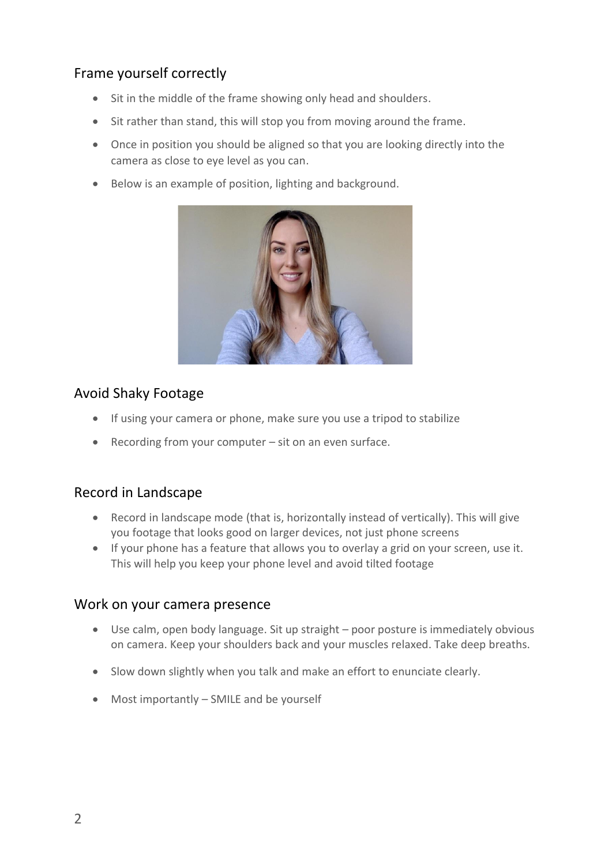# Frame yourself correctly

- Sit in the middle of the frame showing only head and shoulders.
- Sit rather than stand, this will stop you from moving around the frame.
- Once in position you should be aligned so that you are looking directly into the camera as close to eye level as you can.
- Below is an example of position, lighting and background.



## Avoid Shaky Footage

- If using your camera or phone, make sure you use a tripod to stabilize
- Recording from your computer sit on an even surface.

## Record in Landscape

- Record in landscape mode (that is, horizontally instead of vertically). This will give you footage that looks good on larger devices, not just phone screens
- If your phone has a feature that allows you to overlay a grid on your screen, use it. This will help you keep your phone level and avoid tilted footage

#### Work on your camera presence

- Use calm, open body language. Sit up straight poor posture is immediately obvious on camera. Keep your shoulders back and your muscles relaxed. Take deep breaths.
- Slow down slightly when you talk and make an effort to enunciate clearly.
- Most importantly SMILE and be yourself